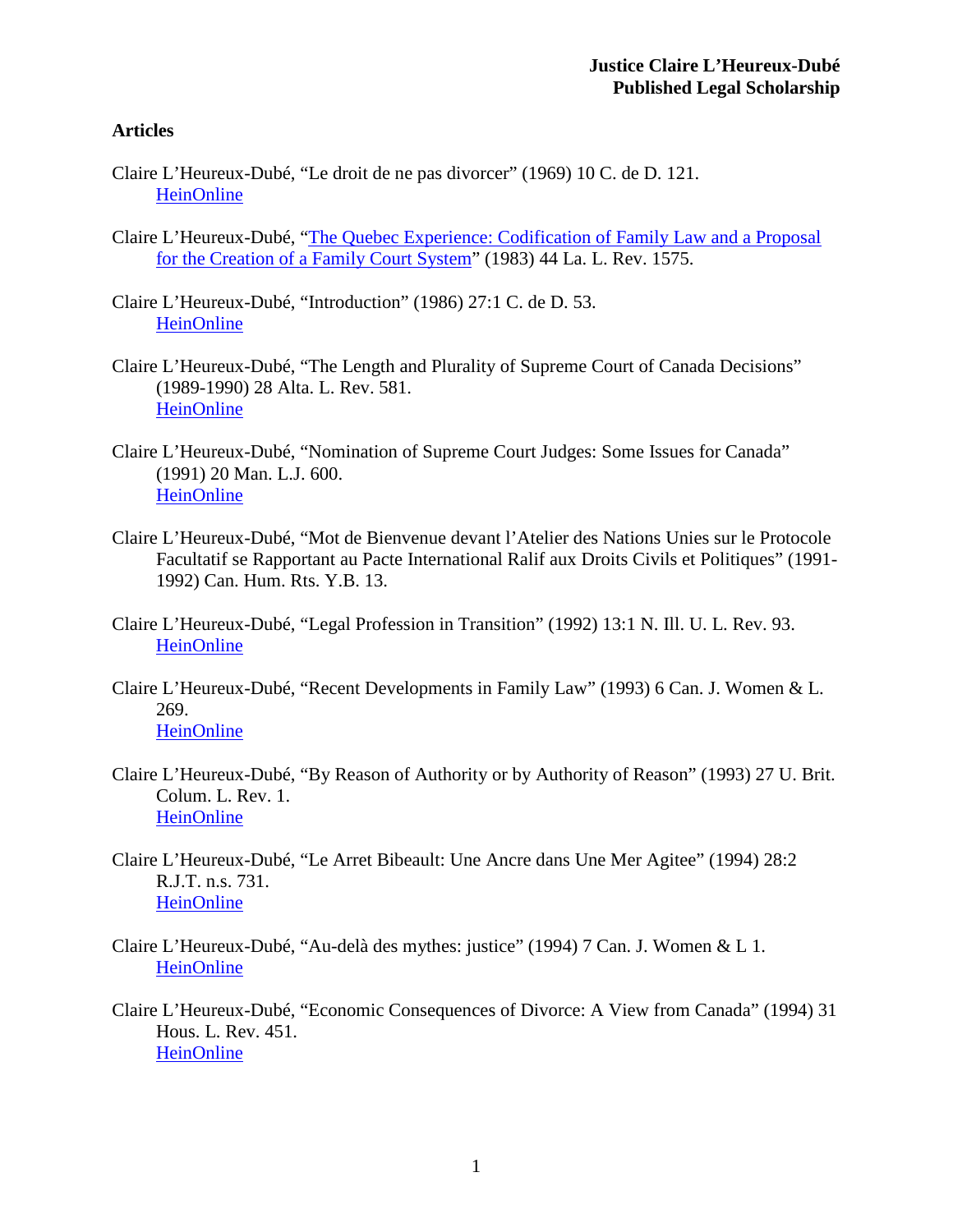# **Articles**

- Claire L'Heureux-Dubé, "Le droit de ne pas divorcer" (1969) 10 C. de D. 121. [HeinOnline](http://heinonline.org/HOL/Page?handle=hein.journals/lcdd10&div=11&g_sent=1&collection=journals%23121)
- Claire L'Heureux-Dubé, ["The Quebec Experience: Codification of Family Law and a Proposal](http://digitalcommons.law.lsu.edu/cgi/viewcontent.cgi?article=4846&context=lalrev)  for the Creation [of a Family Court System"](http://digitalcommons.law.lsu.edu/cgi/viewcontent.cgi?article=4846&context=lalrev) (1983) 44 La. L. Rev. 1575.
- Claire L'Heureux-Dubé, "Introduction" (1986) 27:1 C. de D. 53. **[HeinOnline](http://heinonline.org/HOL/Page?public=false&handle=hein.journals/lcdd27&men_hide=false&men_tab=toc&collection=journals&page=53%2355)**
- Claire L'Heureux-Dubé, "The Length and Plurality of Supreme Court of Canada Decisions" (1989-1990) 28 Alta. L. Rev. 581. [HeinOnline](http://heinonline.org/HOL/Page?public=false&handle=hein.journals/alblr28&men_hide=false&men_tab=toc&collection=journals&page=581%23597)
- Claire L'Heureux-Dubé, "Nomination of Supreme Court Judges: Some Issues for Canada" (1991) 20 Man. L.J. 600. [HeinOnline](http://heinonline.org/HOL/Page?handle=hein.journals/manitob20&div=45&g_sent=1&collection=journals%23608)
- Claire L'Heureux-Dubé, "Mot de Bienvenue devant l'Atelier des Nations Unies sur le Protocole Facultatif se Rapportant au Pacte International Ralif aux Droits Civils et Politiques" (1991- 1992) Can. Hum. Rts. Y.B. 13.
- Claire L'Heureux-Dubé, "Legal Profession in Transition" (1992) 13:1 N. Ill. U. L. Rev. 93. **[HeinOnline](http://heinonline.org/HOL/Page?handle=hein.journals/niulr13&div=10&g_sent=1&collection=journals%23107)**
- Claire L'Heureux-Dubé, "Recent Developments in Family Law" (1993) 6 Can. J. Women & L. 269.
	- [HeinOnline](http://heinonline.org/HOL/Page?handle=hein.journals/cajwol6&div=24&g_sent=1&collection=journals%23293)
- Claire L'Heureux-Dubé, "By Reason of Authority or by Authority of Reason" (1993) 27 U. Brit. Colum. L. Rev. 1. [HeinOnline](http://heinonline.org/HOL/Page?handle=hein.journals/ubclr27&div=6&g_sent=1&collection=journals%237)
- Claire L'Heureux-Dubé, "Le Arret Bibeault: Une Ancre dans Une Mer Agitee" (1994) 28:2 R.J.T. n.s. 731. [HeinOnline](http://heinonline.org/HOL/Page?handle=hein.journals/revjurns28&div=35&g_sent=1&collection=journals)
- Claire L'Heureux-Dubé, "Au-delà des mythes: justice" (1994) 7 Can. J. Women & L 1. [HeinOnline](http://heinonline.org/HOL/Page?public=false&handle=hein.journals/cajwol7&men_hide=false&men_tab=toc&collection=journals&page=1%2319)
- Claire L'Heureux-Dubé, "Economic Consequences of Divorce: A View from Canada" (1994) 31 Hous. L. Rev. 451. **[HeinOnline](http://heinonline.org/HOL/Page?handle=hein.journals/hulr31&div=20&g_sent=1&collection=journals%23463)**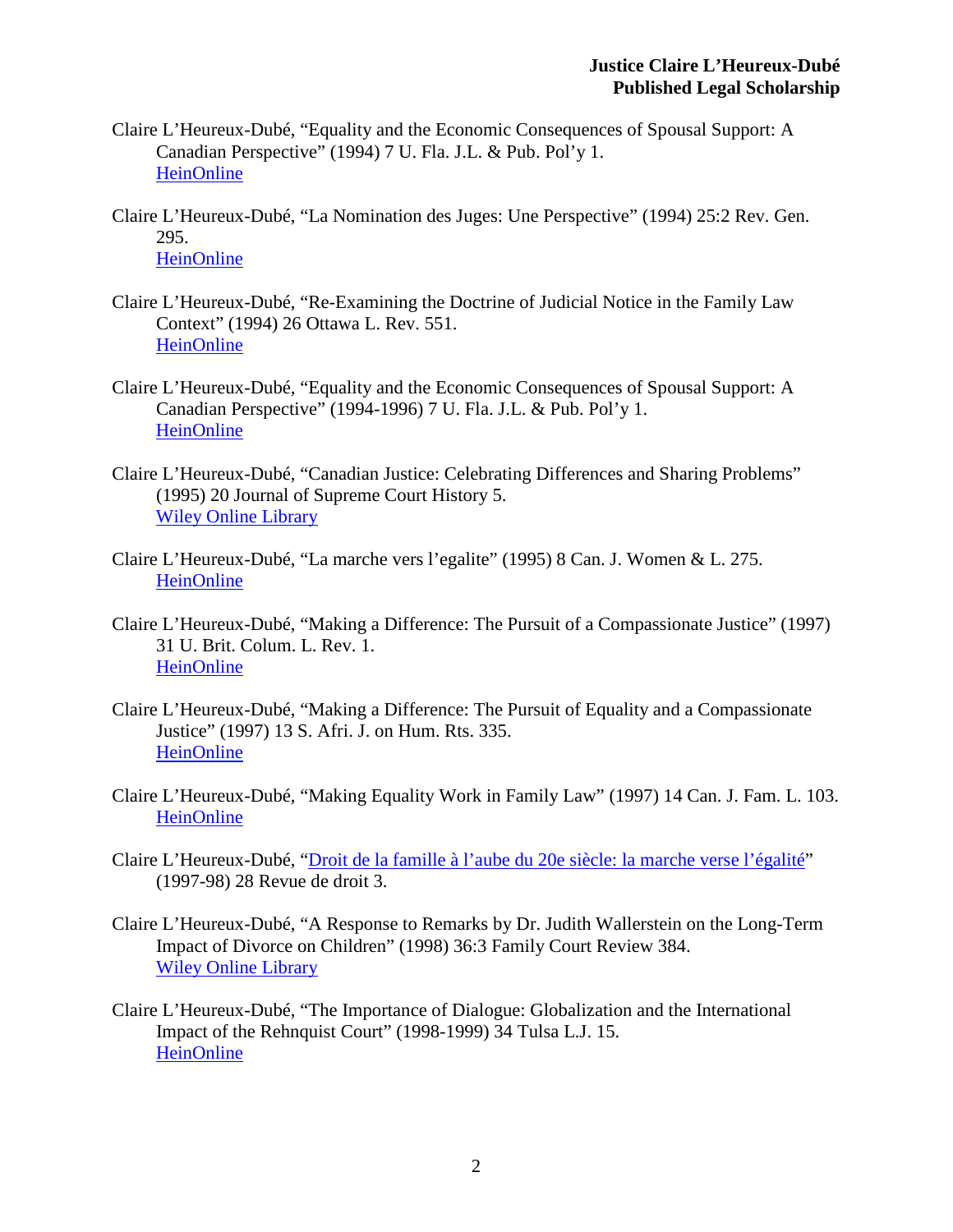- Claire L'Heureux-Dubé, "Equality and the Economic Consequences of Spousal Support: A Canadian Perspective" (1994) 7 U. Fla. J.L. & Pub. Pol'y 1. [HeinOnline](http://heinonline.org/HOL/Page?handle=hein.journals/ufpp7&div=6&g_sent=1&collection=journals%237)
- Claire L'Heureux-Dubé, "La Nomination des Juges: Une Perspective" (1994) 25:2 Rev. Gen. 295. **[HeinOnline](http://heinonline.org/HOL/Page?handle=hein.journals/revgend25&div=39&g_sent=1&collection=journals%23321)**
- Claire L'Heureux-Dubé, "Re-Examining the Doctrine of Judicial Notice in the Family Law Context" (1994) 26 Ottawa L. Rev. 551. **[HeinOnline](http://heinonline.org/HOL/Page?handle=hein.journals/ottlr26&div=26&g_sent=1&collection=journals)**
- Claire L'Heureux-Dubé, "Equality and the Economic Consequences of Spousal Support: A Canadian Perspective" (1994-1996) 7 U. Fla. J.L. & Pub. Pol'y 1. [HeinOnline](http://heinonline.org/HOL/Page?handle=hein.journals/ufpp7&div=6&g_sent=1&collection=journals%237)
- Claire L'Heureux-Dubé, "Canadian Justice: Celebrating Differences and Sharing Problems" (1995) 20 Journal of Supreme Court History 5. [Wiley Online Library](http://onlinelibrary.wiley.com/doi/10.1111/j.1540-5818.1995.tb00088.x/full)
- Claire L'Heureux-Dubé, "La marche vers l'egalite" (1995) 8 Can. J. Women & L. 275. [HeinOnline](http://heinonline.org/HOL/Page?handle=hein.journals/cajwol8&div=22&g_sent=1&collection=journals%23295)
- Claire L'Heureux-Dubé, "Making a Difference: The Pursuit of a Compassionate Justice" (1997) 31 U. Brit. Colum. L. Rev. 1. **[HeinOnline](http://heinonline.org/HOL/Page?handle=hein.journals/soafjhr13&div=35&g_sent=1&collection=journals%23345)**
- Claire L'Heureux-Dubé, "Making a Difference: The Pursuit of Equality and a Compassionate Justice" (1997) 13 S. Afri. J. on Hum. Rts. 335. [HeinOnline](http://heinonline.org/HOL/Page?handle=hein.journals/soafjhr13&div=35&g_sent=1&collection=journals%23345)
- Claire L'Heureux-Dubé, "Making Equality Work in Family Law" (1997) 14 Can. J. Fam. L. 103. [HeinOnline](http://heinonline.org/HOL/Page?handle=hein.journals/cajfl14&div=14&g_sent=1&collection=journals%23105)
- Claire L'Heureux-Dubé, ["Droit de la famille à l'aube du 20e siècle: la marche verse l'égalité"](https://www.usherbrooke.ca/droit/fileadmin/sites/droit/documents/RDUS/volume_28/28-12-lheureux.pdf) (1997-98) 28 Revue de droit 3.
- Claire L'Heureux-Dubé, "A Response to Remarks by Dr. Judith Wallerstein on the Long-Term Impact of Divorce on Children" (1998) 36:3 Family Court Review 384. [Wiley Online Library](http://onlinelibrary.wiley.com/doi/10.1111/j.174-1617.1998.tb00520.x/full)
- Claire L'Heureux-Dubé, "The Importance of Dialogue: Globalization and the International Impact of the Rehnquist Court" (1998-1999) 34 Tulsa L.J. 15. **[HeinOnline](http://heinonline.org/HOL/LandingPage?handle=hein.journals/tlj34&div=10&id=&page=)**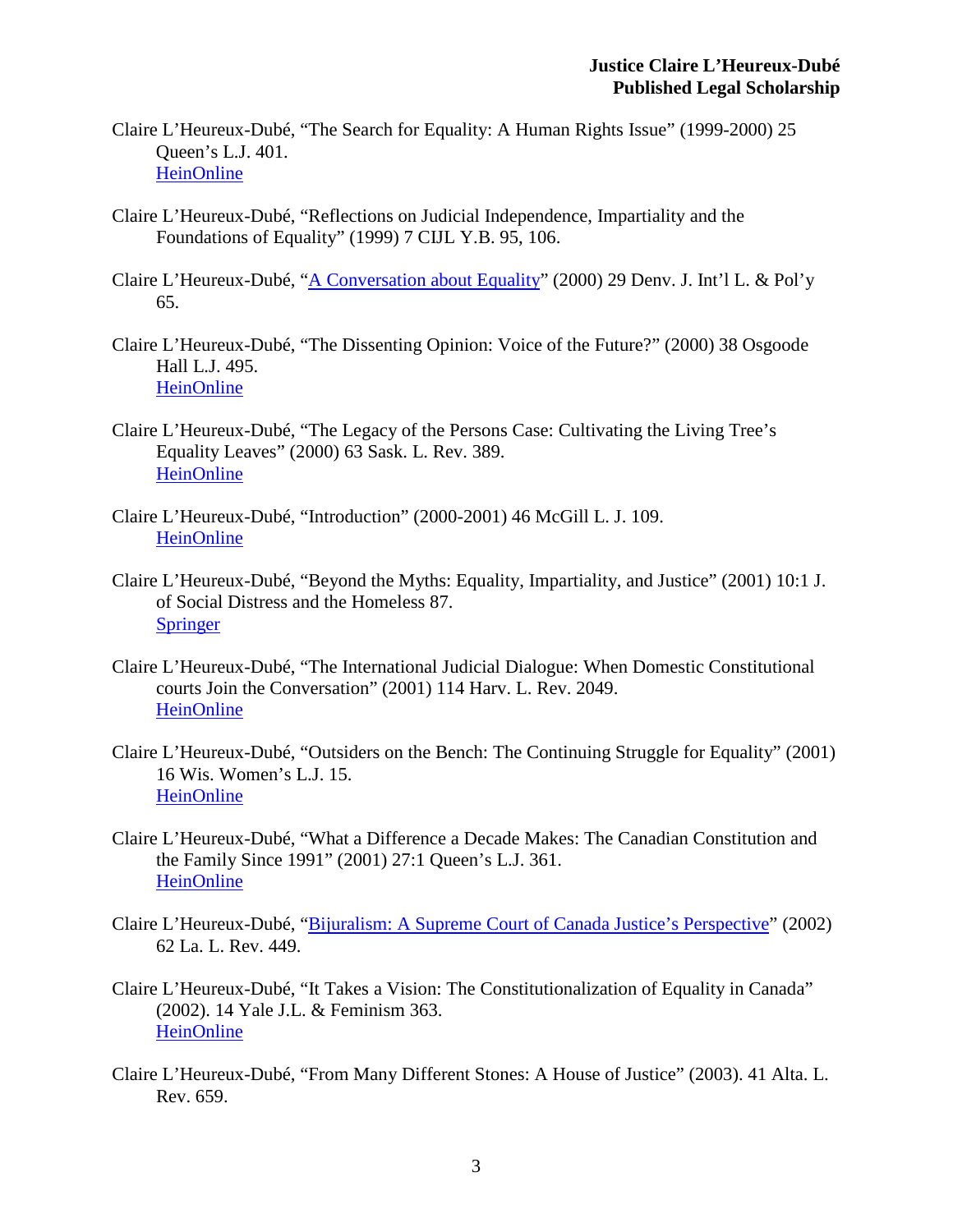- Claire L'Heureux-Dubé, "The Search for Equality: A Human Rights Issue" (1999-2000) 25 Queen's L.J. 401. [HeinOnline](http://heinonline.org/HOL/Page?handle=hein.journals/queen25&div=19&g_sent=1&collection=journals%23421)
- Claire L'Heureux-Dubé, "Reflections on Judicial Independence, Impartiality and the Foundations of Equality" (1999) 7 CIJL Y.B. 95, 106.
- Claire L'Heureux-Dubé, ["A Conversation about Equality"](http://www.google.ca/url?sa=t&rct=j&q=&esrc=s&source=web&cd=4&ved=0CEIQFjAD&url=http%3A%2F%2Fwww.er.uqam.ca%2Fnobel%2Fk27114%2Fdoclucie%2Fvol29-1.pdf&ei=p5IJU96UHqfuyQGDmIFQ&usg=AFQjCNExm_81kVTSPSUO2EiZgEYcCOQ-_w&sig2=CtUYKSTdgCV7ZCAOc-H7WQ&bvm=bv.61725948,d.aWc&cad=rja) (2000) 29 Denv. J. Int'l L. & Pol'y 65.
- Claire L'Heureux-Dubé, "The Dissenting Opinion: Voice of the Future?" (2000) 38 Osgoode Hall L.J. 495. [HeinOnline](http://heinonline.org/HOL/Page?handle=hein.journals/ohlj38&div=26&g_sent=1&collection=journals%23507)
- Claire L'Heureux-Dubé, "The Legacy of the Persons Case: Cultivating the Living Tree's Equality Leaves" (2000) 63 Sask. L. Rev. 389. [HeinOnline](http://heinonline.org/HOL/Page?handle=hein.journals/sasklr63&div=23&g_sent=1&collection=journals%23395)
- Claire L'Heureux-Dubé, "Introduction" (2000-2001) 46 McGill L. J. 109. [HeinOnline](http://heinonline.org/HOL/Page?public=false&handle=hein.journals/mcgil46&men_hide=false&men_tab=toc&collection=journals&page=109%23119)
- Claire L'Heureux-Dubé, "Beyond the Myths: Equality, Impartiality, and Justice" (2001) 10:1 J. of Social Distress and the Homeless 87. **[Springer](http://link.springer.com/article/10.1023/A:1009433703175)**
- Claire L'Heureux-Dubé, "The International Judicial Dialogue: When Domestic Constitutional courts Join the Conversation" (2001) 114 Harv. L. Rev. 2049. [HeinOnline](http://heinonline.org/HOL/Page?public=false&handle=hein.journals/mcgil46&men_hide=false&men_tab=toc&collection=journals&page=109%23119)
- Claire L'Heureux-Dubé, "Outsiders on the Bench: The Continuing Struggle for Equality" (2001) 16 Wis. Women's L.J. 15. [HeinOnline](http://heinonline.org/HOL/Page?handle=hein.journals/wiswo16&div=7&g_sent=1&collection=journals%2321)
- Claire L'Heureux-Dubé, "What a Difference a Decade Makes: The Canadian Constitution and the Family Since 1991" (2001) 27:1 Queen's L.J. 361. **[HeinOnline](http://heinonline.org/HOL/Page?handle=hein.journals/queen27&div=16&g_sent=1&collection=journals%23373)**
- Claire L'Heureux-Dubé, ["Bijuralism: A Supreme Court of Canada Justice's Perspective"](http://digitalcommons.law.lsu.edu/cgi/viewcontent.cgi?article=5924&context=lalrev) (2002) 62 La. L. Rev. 449.
- Claire L'Heureux-Dubé, "It Takes a Vision: The Constitutionalization of Equality in Canada" (2002). 14 Yale J.L. & Feminism 363. [HeinOnline](http://heinonline.org/HOL/Page?handle=hein.journals/yjfem14&div=24&g_sent=1&collection=journals%23375)
- Claire L'Heureux-Dubé, "From Many Different Stones: A House of Justice" (2003). 41 Alta. L. Rev. 659.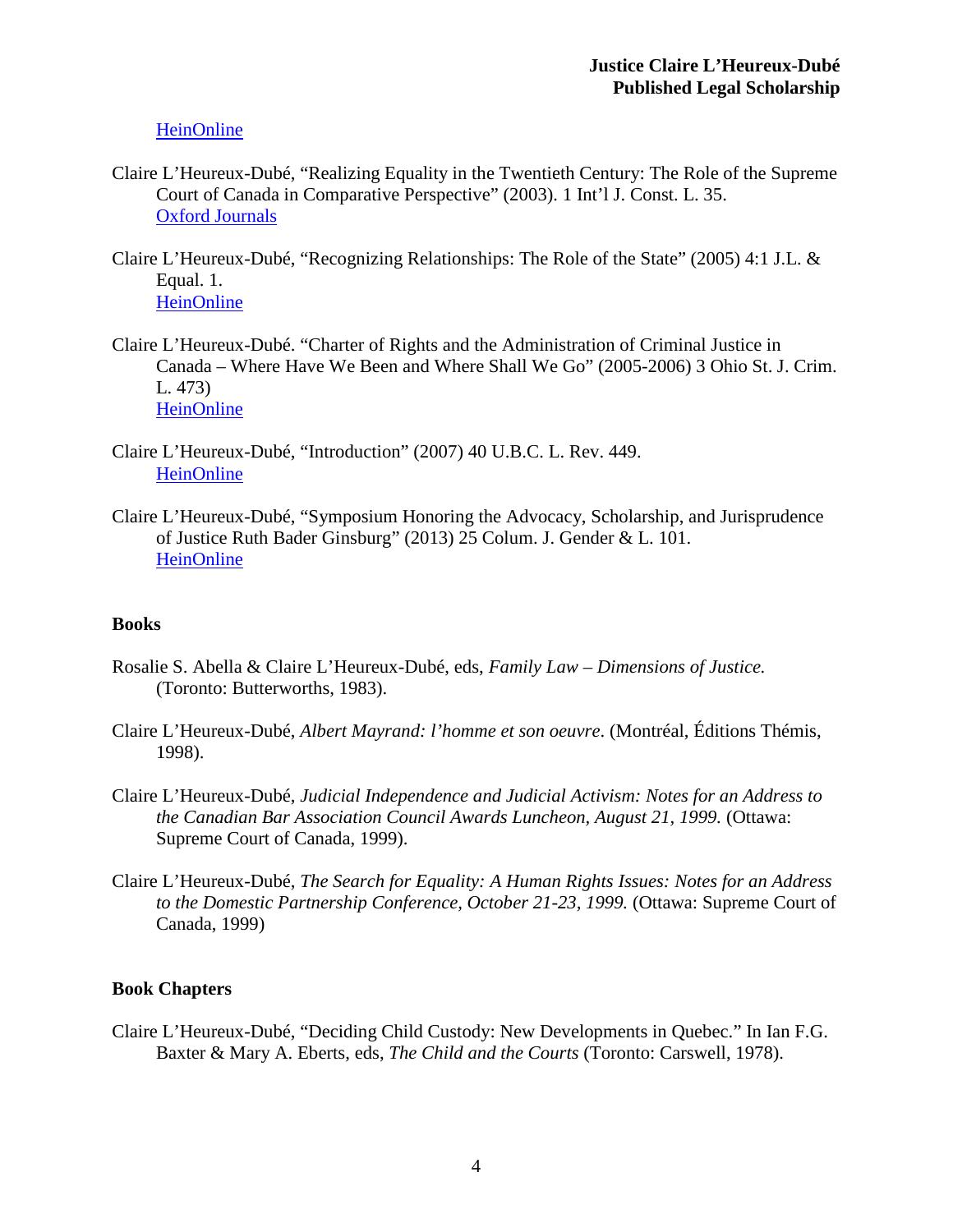**[HeinOnline](http://heinonline.org/HOL/Page?handle=hein.journals/alblr41&div=32&g_sent=1&collection=journals%23669)** 

- Claire L'Heureux-Dubé, "Realizing Equality in the Twentieth Century: The Role of the Supreme Court of Canada in Comparative Perspective" (2003). 1 Int'l J. Const. L. 35. [Oxford Journals](http://icon.oxfordjournals.org/content/1/1/35.short)
- Claire L'Heureux-Dubé, "Recognizing Relationships: The Role of the State" (2005) 4:1 J.L. & Equal. 1. **[HeinOnline](http://heinonline.org/HOL/Page?public=false&handle=hein.journals/jleq4&men_hide=false&men_tab=toc&collection=journals&page=1%233)**
- Claire L'Heureux-Dubé. "Charter of Rights and the Administration of Criminal Justice in Canada – Where Have We Been and Where Shall We Go" (2005-2006) 3 Ohio St. J. Crim. L. 473) [HeinOnline](http://heinonline.org/HOL/Page?handle=hein.journals/osjcl3&div=29&g_sent=1&collection=journals%23479)
- Claire L'Heureux-Dubé, "Introduction" (2007) 40 U.B.C. L. Rev. 449. [HeinOnline](http://heinonline.org/HOL/Page?public=false&handle=hein.journals/ubclr40&men_hide=false&men_tab=toc&collection=journals&page=449%23457)
- Claire L'Heureux-Dubé, "Symposium Honoring the Advocacy, Scholarship, and Jurisprudence of Justice Ruth Bader Ginsburg" (2013) 25 Colum. J. Gender & L. 101. [HeinOnline](http://heinonline.org/HOL/Page?public=false&handle=hein.journals/coljgl25&men_hide=false&men_tab=toc&collection=journals&page=101%23111)

### **Books**

- Rosalie S. Abella & Claire L'Heureux-Dubé, eds, *Family Law – Dimensions of Justice.*  (Toronto: Butterworths, 1983).
- Claire L'Heureux-Dubé, *Albert Mayrand: l'homme et son oeuvre*. (Montréal, Éditions Thémis, 1998).
- Claire L'Heureux-Dubé, *Judicial Independence and Judicial Activism: Notes for an Address to the Canadian Bar Association Council Awards Luncheon, August 21, 1999.* (Ottawa: Supreme Court of Canada, 1999).
- Claire L'Heureux-Dubé, *The Search for Equality: A Human Rights Issues: Notes for an Address to the Domestic Partnership Conference, October 21-23, 1999.* (Ottawa: Supreme Court of Canada, 1999)

# **Book Chapters**

Claire L'Heureux-Dubé, "Deciding Child Custody: New Developments in Quebec." In Ian F.G. Baxter & Mary A. Eberts, eds, *The Child and the Courts* (Toronto: Carswell, 1978).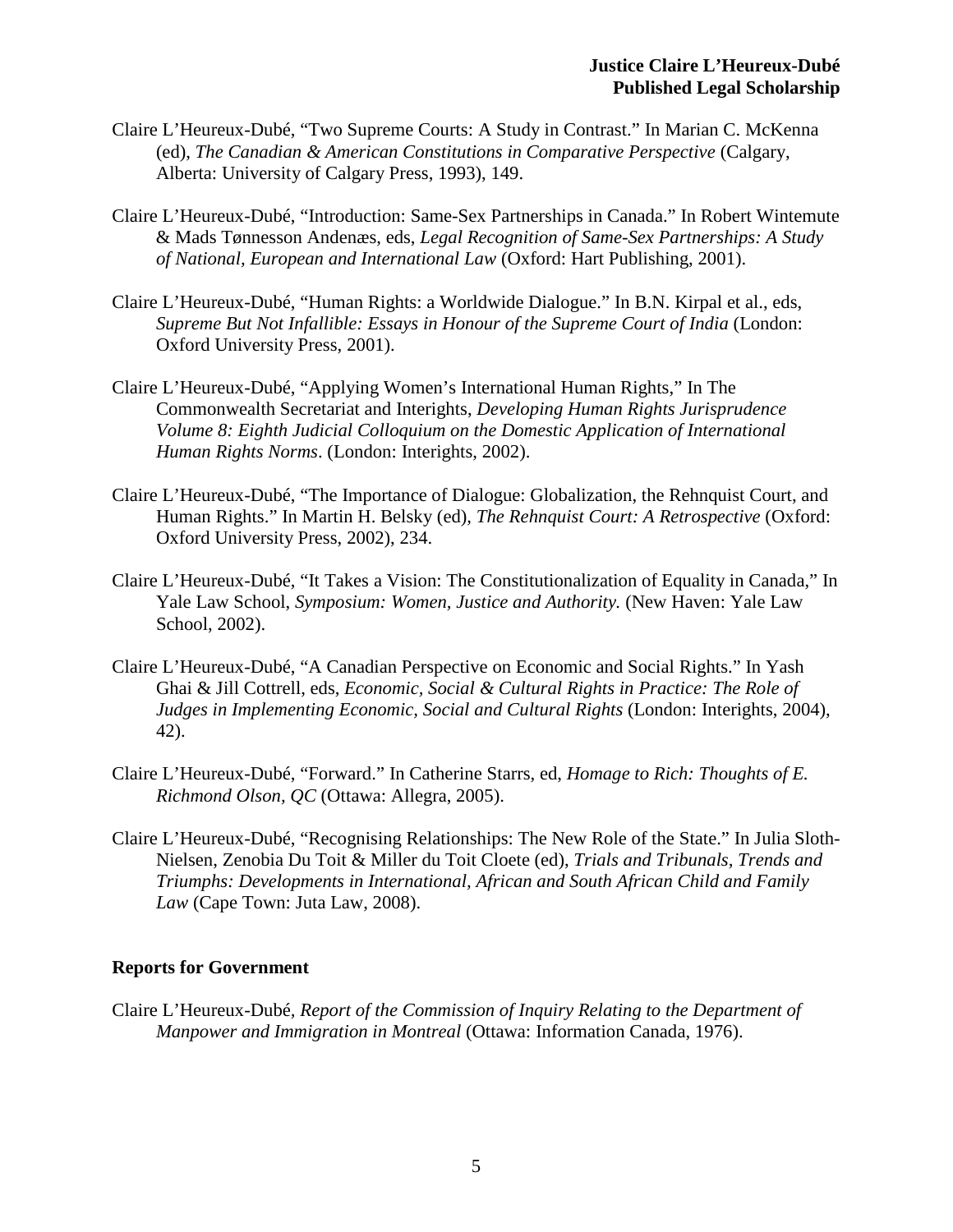- Claire L'Heureux-Dubé, "Two Supreme Courts: A Study in Contrast." In Marian C. McKenna (ed), *The Canadian & American Constitutions in Comparative Perspective* (Calgary, Alberta: University of Calgary Press, 1993), 149.
- Claire L'Heureux-Dubé, "Introduction: Same-Sex Partnerships in Canada." In Robert Wintemute & Mads Tønnesson Andenæs, eds, *Legal Recognition of Same-Sex Partnerships: A Study of National, European and International Law* (Oxford: Hart Publishing, 2001).
- Claire L'Heureux-Dubé, "Human Rights: a Worldwide Dialogue." In B.N. Kirpal et al., eds, *Supreme But Not Infallible: Essays in Honour of the Supreme Court of India* (London: Oxford University Press, 2001).
- Claire L'Heureux-Dubé, "Applying Women's International Human Rights," In The Commonwealth Secretariat and Interights, *Developing Human Rights Jurisprudence Volume 8: Eighth Judicial Colloquium on the Domestic Application of International Human Rights Norms*. (London: Interights, 2002).
- Claire L'Heureux-Dubé, "The Importance of Dialogue: Globalization, the Rehnquist Court, and Human Rights." In Martin H. Belsky (ed), *The Rehnquist Court: A Retrospective* (Oxford: Oxford University Press, 2002), 234.
- Claire L'Heureux-Dubé, "It Takes a Vision: The Constitutionalization of Equality in Canada," In Yale Law School, *Symposium: Women, Justice and Authority.* (New Haven: Yale Law School, 2002).
- Claire L'Heureux-Dubé, "A Canadian Perspective on Economic and Social Rights." In Yash Ghai & Jill Cottrell, eds, *Economic, Social & Cultural Rights in Practice: The Role of Judges in Implementing Economic, Social and Cultural Rights* (London: Interights, 2004), 42).
- Claire L'Heureux-Dubé, "Forward." In Catherine Starrs, ed, *Homage to Rich: Thoughts of E. Richmond Olson, QC* (Ottawa: Allegra, 2005).
- Claire L'Heureux-Dubé, "Recognising Relationships: The New Role of the State." In Julia Sloth-Nielsen, Zenobia Du Toit & Miller du Toit Cloete (ed), *Trials and Tribunals, Trends and Triumphs: Developments in International, African and South African Child and Family Law* (Cape Town: Juta Law, 2008).

#### **Reports for Government**

Claire L'Heureux-Dubé*, Report of the Commission of Inquiry Relating to the Department of Manpower and Immigration in Montreal* (Ottawa: Information Canada, 1976).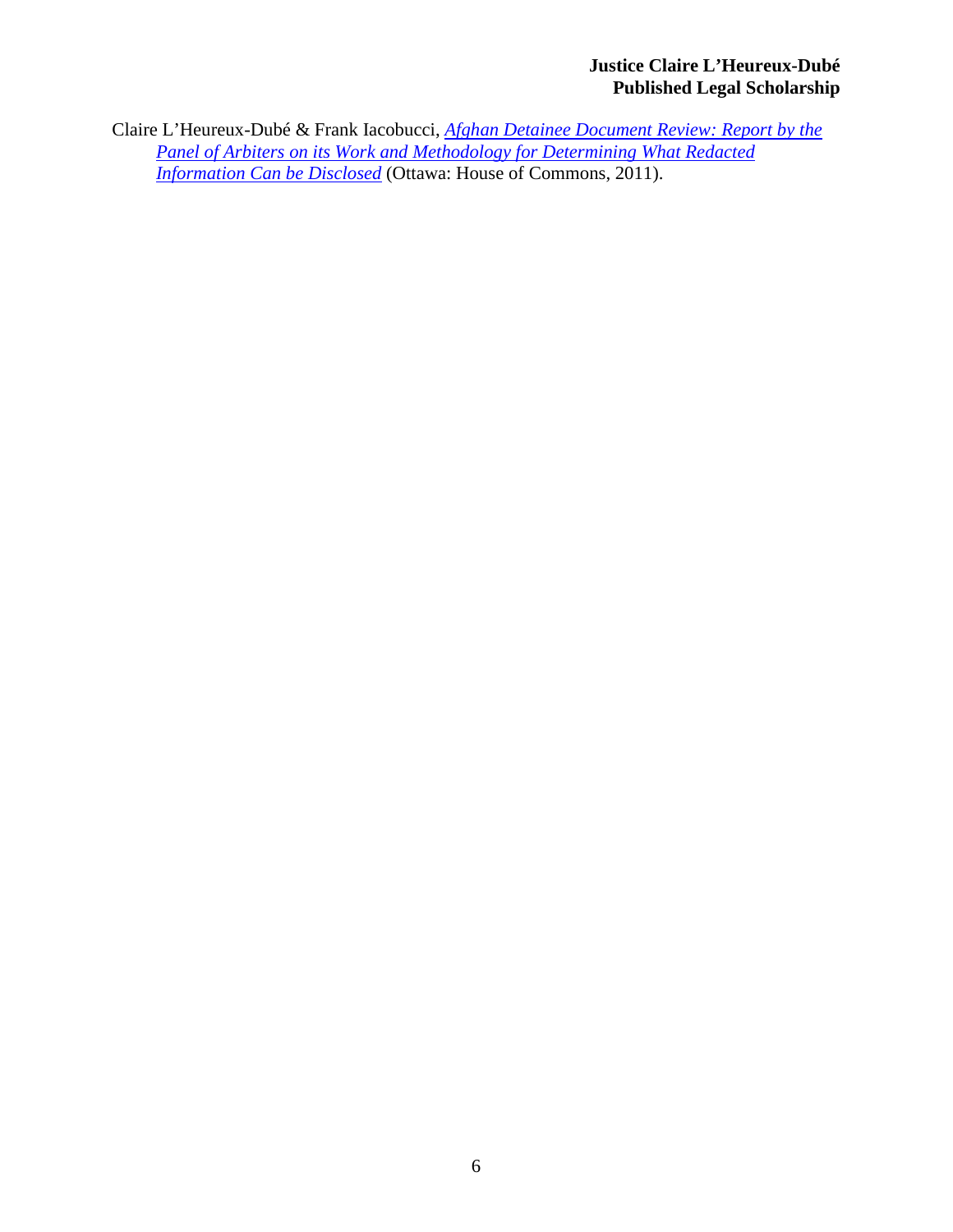# **Justice Claire L'Heureux-Dubé Published Legal Scholarship**

Claire L'Heureux-Dubé & Frank Iacobucci, *[Afghan Detainee Document Review: Report by the](http://www.google.ca/url?sa=t&rct=j&q=&esrc=s&source=web&cd=1&ved=0CCkQFjAA&url=http%3A%2F%2Fwww.afghanistan.gc.ca%2Fcanada-afghanistan%2Fassets%2Fpdfs%2Fdocs%2F362%2F2011_04_report-eng.pdf&ei=p0YJU9zbDMWbrgGF_4HwAQ&usg=AFQjCNHfjJcRyBCN8OJQyq45k0JZkAWx5g&sig2=Mv1tEffdsp8neUgxzccDLg&bvm=bv.61725948,d.aWM&cad=rja)  [Panel of Arbiters on its Work and Methodology for Determining What Redacted](http://www.google.ca/url?sa=t&rct=j&q=&esrc=s&source=web&cd=1&ved=0CCkQFjAA&url=http%3A%2F%2Fwww.afghanistan.gc.ca%2Fcanada-afghanistan%2Fassets%2Fpdfs%2Fdocs%2F362%2F2011_04_report-eng.pdf&ei=p0YJU9zbDMWbrgGF_4HwAQ&usg=AFQjCNHfjJcRyBCN8OJQyq45k0JZkAWx5g&sig2=Mv1tEffdsp8neUgxzccDLg&bvm=bv.61725948,d.aWM&cad=rja)  [Information Can be Disclosed](http://www.google.ca/url?sa=t&rct=j&q=&esrc=s&source=web&cd=1&ved=0CCkQFjAA&url=http%3A%2F%2Fwww.afghanistan.gc.ca%2Fcanada-afghanistan%2Fassets%2Fpdfs%2Fdocs%2F362%2F2011_04_report-eng.pdf&ei=p0YJU9zbDMWbrgGF_4HwAQ&usg=AFQjCNHfjJcRyBCN8OJQyq45k0JZkAWx5g&sig2=Mv1tEffdsp8neUgxzccDLg&bvm=bv.61725948,d.aWM&cad=rja)* (Ottawa: House of Commons, 2011).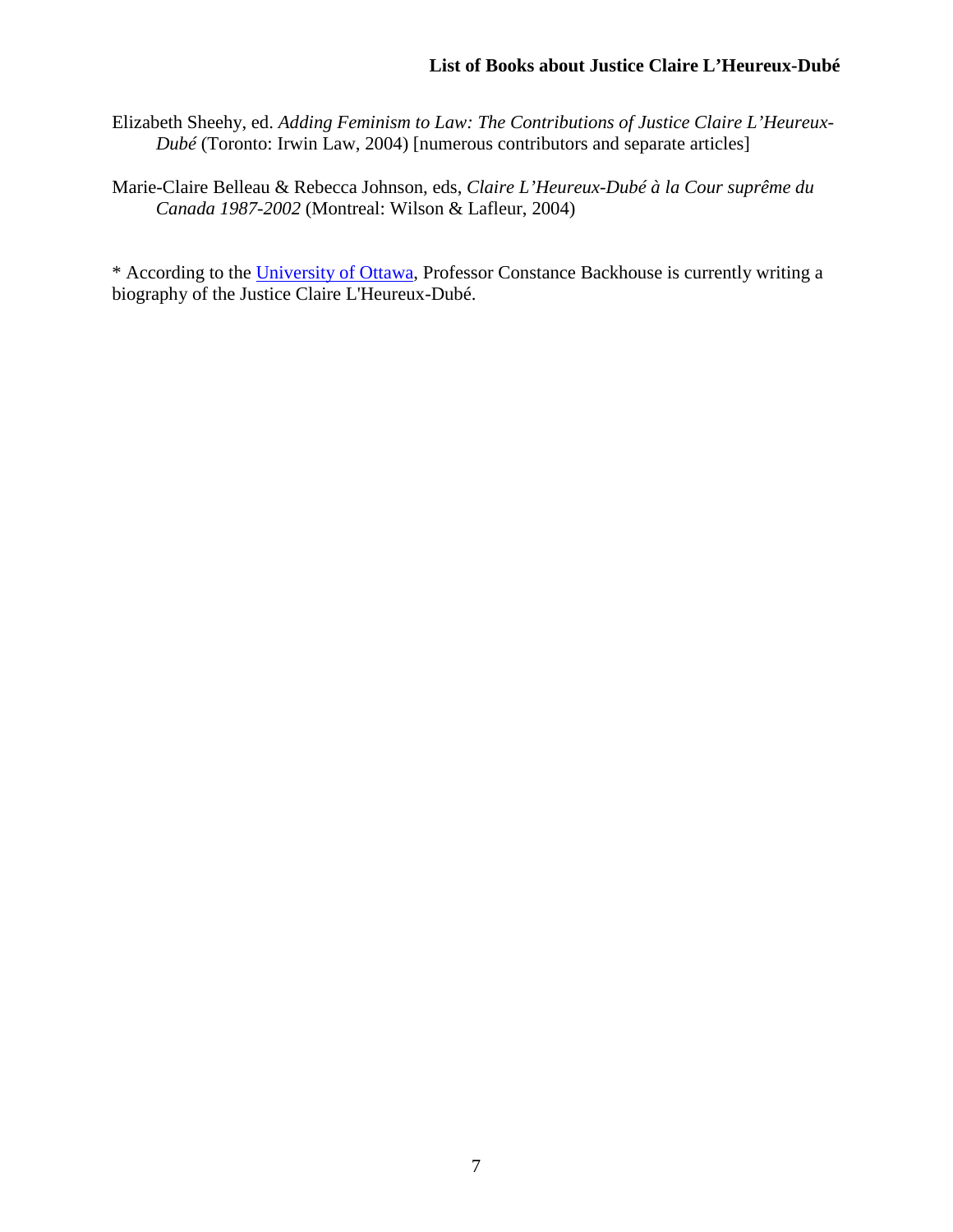Elizabeth Sheehy, ed. *Adding Feminism to Law: The Contributions of Justice Claire L'Heureux-Dubé* (Toronto: Irwin Law, 2004) [numerous contributors and separate articles]

Marie-Claire Belleau & Rebecca Johnson, eds, *Claire L'Heureux-Dubé à la Cour suprême du Canada 1987-2002* (Montreal: Wilson & Lafleur, 2004)

\* According to the [University of Ottawa,](http://www.commonlaw.uottawa.ca/en/constance-backhouse.html) Professor Constance Backhouse is currently writing a biography of the Justice Claire L'Heureux-Dubé.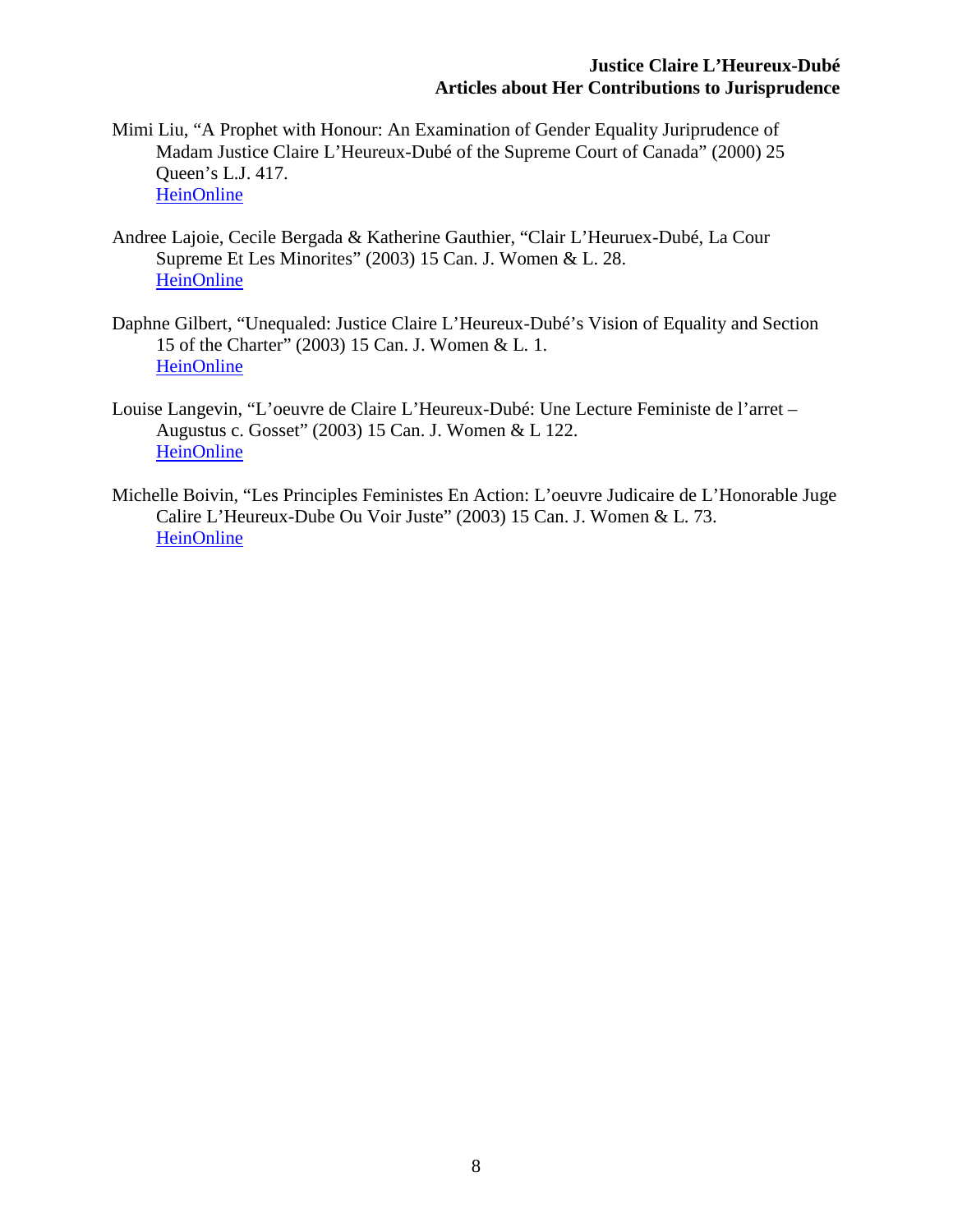#### **Justice Claire L'Heureux-Dubé Articles about Her Contributions to Jurisprudence**

- Mimi Liu, "A Prophet with Honour: An Examination of Gender Equality Juriprudence of Madam Justice Claire L'Heureux-Dubé of the Supreme Court of Canada" (2000) 25 Queen's L.J. 417. **[HeinOnline](http://heinonline.org/HOL/Page?public=false&handle=hein.journals/queen25&men_hide=false&men_tab=toc&collection=journals&page=417%23437)**
- Andree Lajoie, Cecile Bergada & Katherine Gauthier, "Clair L'Heuruex-Dubé, La Cour Supreme Et Les Minorites" (2003) 15 Can. J. Women & L. 28. **[HeinOnline](http://heinonline.org.proxy.queensu.ca/HOL/Page?handle=hein.journals/cajwol15&div=9&collection=journals&set_as_cursor=0&men_tab=srchresults%2348)**
- Daphne Gilbert, "Unequaled: Justice Claire L'Heureux-Dubé's Vision of Equality and Section 15 of the Charter" (2003) 15 Can. J. Women & L. 1. [HeinOnline](http://heinonline.org/HOL/Page?public=false&handle=hein.journals/cajwol15&men_hide=false&men_tab=toc&collection=journals&page=1%2321)
- Louise Langevin, "L'oeuvre de Claire L'Heureux-Dubé: Une Lecture Feministe de l'arret Augustus c. Gosset" (2003) 15 Can. J. Women & L 122. **[HeinOnline](http://heinonline.org/HOL/Page?public=false&handle=hein.journals/cajwol15&men_hide=false&men_tab=toc&collection=journals&page=122%23142)**
- Michelle Boivin, "Les Principles Feministes En Action: L'oeuvre Judicaire de L'Honorable Juge Calire L'Heureux-Dube Ou Voir Juste" (2003) 15 Can. J. Women & L. 73. [HeinOnline](http://heinonline.org/HOL/Page?public=false&handle=hein.journals/cajwol15&men_hide=false&men_tab=toc&collection=journals&page=73%2393)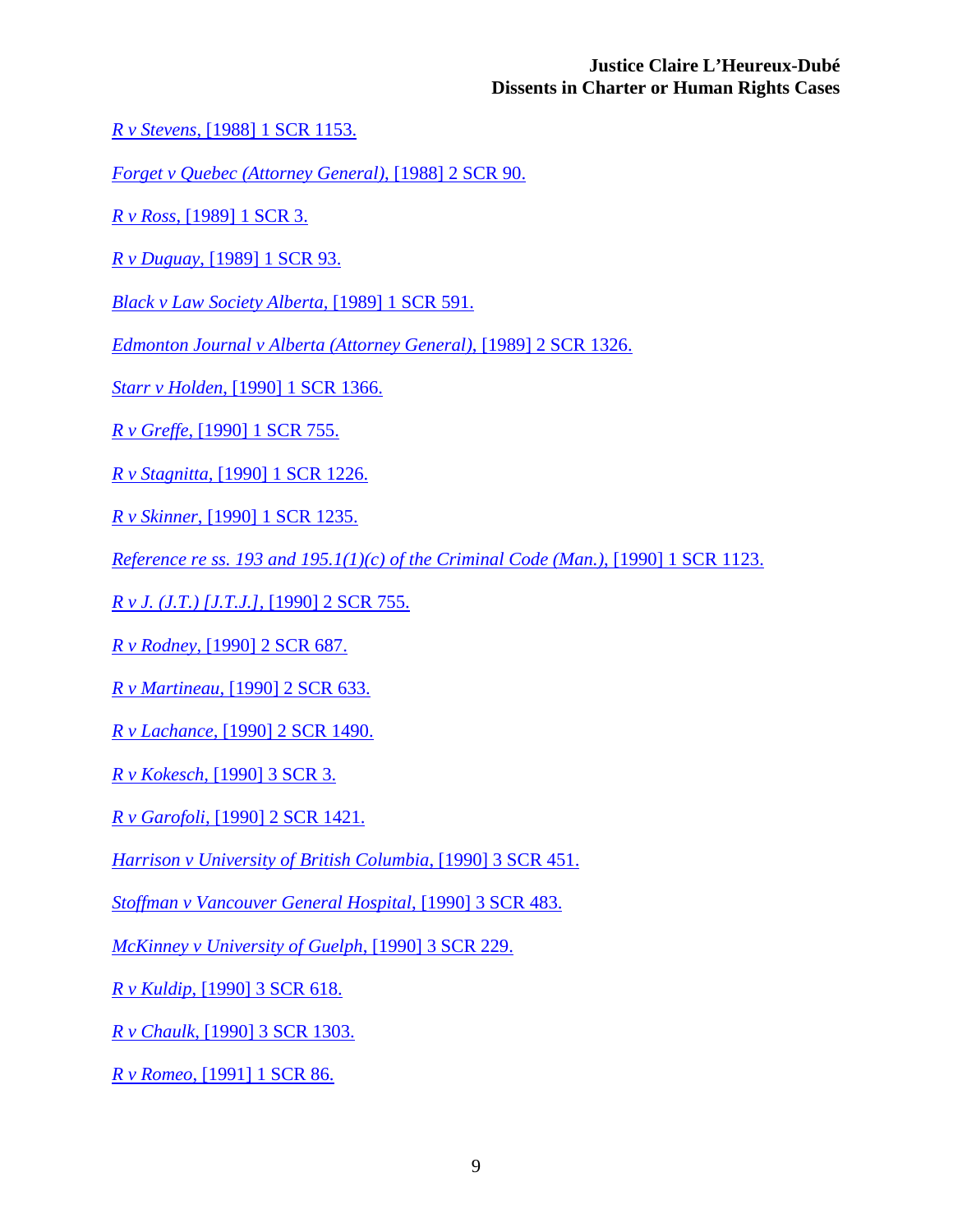#### **Justice Claire L'Heureux-Dubé Dissents in Charter or Human Rights Cases**

*R v Stevens*[, \[1988\] 1 SCR 1153.](http://scc-csc.lexum.com/scc-csc/scc-csc/en/item/348/index.do?r=AAAAAQAKMSBTQ1IgMTE1MwAAAAAB)

*[Forget v Quebec \(Attorney General\)](http://scc-csc.lexum.com/scc-csc/scc-csc/en/item/356/index.do?r=AAAAAQAIMiBTQ1IgOTAAAAAAAQ)*, [1988] 2 SCR 90.

*R v Ross*[, \[1989\] 1 SCR 3.](http://scc-csc.lexum.com/scc-csc/scc-csc/en/item/399/index.do?r=AAAAAQAHMSBTQ1IgMwAAAAAB)

*R v Duguay*[, \[1989\] 1 SCR 93.](http://scc-csc.lexum.com/scc-csc/scc-csc/en/item/432/index.do?r=AAAAAQARIFsxOTg5XSAxIFNDUiA1OTEAAAAAAQ)

*[Black v Law Society Alberta,](http://scc-csc.lexum.com/scc-csc/scc-csc/en/item/432/index.do?r=AAAAAQARIFsxOTg5XSAxIFNDUiA1OTEAAAAAAQ)* [1989] 1 SCR 591.

*[Edmonton Journal v Alberta \(Attorney General\)](http://scc-csc.lexum.com/scc-csc/scc-csc/en/item/555/index.do?r=AAAAAQASWzE5ODldIDIgU0NSIDEzMjYuAAAAAAE)*, [1989] 2 SCR 1326.

*Starr v Holden*[, \[1990\] 1 SCR 1366.](http://scc-csc.lexum.com/scc-csc/scc-csc/en/item/618/index.do?r=AAAAAQASWzE5OTBdIDEgU0NSIDEzNjYuAAAAAAE)

*R v Greffe,* [\[1990\] 1 SCR 755.](http://scc-csc.lexum.com/scc-csc/scc-csc/en/item/591/index.do?r=AAAAAQAfUi4gdi4gR3JlZmZlLCBbMTk5MF0gMSBTQ1IgNzU1LgAAAAAB)

*R v Stagnitta,* [\[1990\] 1 SCR 1226.](http://scc-csc.lexum.com/scc-csc/scc-csc/en/item/612/index.do?r=AAAAAQAjUi4gdi4gU3RhZ25pdHRhLCBbMTk5MF0gMSBTQ1IgMTIyNi4AAAAAAQ)

*R v Skinner*[, \[1990\] 1 SCR 1235.](http://scc-csc.lexum.com/scc-csc/scc-csc/en/item/613/index.do?r=AAAAAQAhUi4gdi4gU2tpbm5lciwgWzE5OTBdIDEgU0NSIDEyMzUuAAAAAAE)

*[Reference re ss. 193 and 195.1\(1\)\(c\) of the Criminal Code \(Man.\)](http://scc-csc.lexum.com/scc-csc/scc-csc/en/item/611/index.do?r=AAAAAQBUUmVmZXJlbmNlIHJlIHNzLiAxOTMgYW5kIDE5NS4xKDEpKGMpIG9mIHRoZSBDcmltaW5hbCBDb2RlIChNYW4uKSwgWzE5OTBdIDEgU0NSIDExMjMuAAAAAAE)*, [1990] 1 SCR 1123.

*R v J. (J.T.) [J.T.J.],* [\[1990\] 2 SCR 755.](http://scc-csc.lexum.com/scc-csc/scc-csc/en/item/651/index.do?r=AAAAAQArUi4gdi4gSi4gKEouVC4pIFtKLlQuSi5dLCBbMTk5MF0gMiBTQ1IgNzU1LgAAAAAB)

*R v Rodney,* [\[1990\] 2 SCR 687.](http://scc-csc.lexum.com/scc-csc/scc-csc/en/item/647/index.do?r=AAAAAQAfUi4gdi4gUm9kbmV5LCBbMTk5MF0gMiBTQ1IgNjg3LgAAAAAB)

*R v Martineau,* [\[1990\] 2 SCR 633.](http://scc-csc.lexum.com/scc-csc/scc-csc/en/item/646/index.do?r=AAAAAQAiUi4gdi4gTWFydGluZWF1LCBbMTk5MF0gMiBTQ1IgNjMzLgAAAAAB)

*R v Lachance,* [\[1990\] 2 SCR 1490.](http://scc-csc.lexum.com/scc-csc/scc-csc/en/item/678/index.do?r=AAAAAQAiUi4gdi4gTGFjaGFuY2UsIFsxOTkwXSAyIFNDUiAxNDkwLgAAAAAB)

*R v Kokesch,* [\[1990\] 3 SCR 3.](http://scc-csc.lexum.com/scc-csc/scc-csc/en/item/681/index.do?r=AAAAAQAeUi4gdi4gS29rZXNjaCwgWzE5OTBdIDMgU0NSIDMuAAAAAAE)

*R v Garofoli,* [\[1990\] 2 SCR 1421.](http://scc-csc.lexum.com/scc-csc/scc-csc/en/item/677/index.do?r=AAAAAQAiUi4gdi4gR2Fyb2ZvbGksIFsxOTkwXSAyIFNDUiAxNDIxLgAAAAAB)

*[Harrison v University of British Columbia](http://scc-csc.lexum.com/scc-csc/scc-csc/en/item/688/index.do?r=AAAAAQA8SGFycmlzb24gdiBVbml2ZXJzaXR5IG9mIEJyaXRpc2ggQ29sdW1iaWEsIFsxOTkwXSAzIFNDUiA0NTEuAAAAAAE)*, [1990] 3 SCR 451.

*[Stoffman v Vancouver General Hospital](http://scc-csc.lexum.com/scc-csc/scc-csc/en/item/689/index.do?r=AAAAAQA4U3RvZmZtYW4gdiBWYW5jb3V2ZXIgR2VuZXJhbCBIb3NwaXRhbCwgWzE5OTBdIDMgU0NSIDQ4My4AAAAAAQ)*, [1990] 3 SCR 483.

*[McKinney v University of Guelph](http://scc-csc.lexum.com/scc-csc/scc-csc/en/item/687/index.do?r=AAAAAQAyTWNLaW5uZXkgdiBVbml2ZXJzaXR5IG9mIEd1ZWxwaCwgWzE5OTBdIDMgU0NSIDIyOS4AAAAAAQ)*, [1990] 3 SCR 229.

*R v Kuldip*[, \[1990\] 3 SCR 618.](http://scc-csc.lexum.com/scc-csc/scc-csc/en/item/692/index.do?r=AAAAAQAfUi4gdi4gS3VsZGlwLCBbMTk5MF0gMyBTQ1IgNjE4LgAAAAAB)

*R v Chaulk*[, \[1990\] 3 SCR 1303.](http://scc-csc.lexum.com/scc-csc/scc-csc/en/item/707/index.do?r=AAAAAQAgUi4gdi4gQ2hhdWxrLCBbMTk5MF0gMyBTQ1IgMTMwMy4AAAAAAQ)

*R v Romeo*[, \[1991\] 1 SCR 86.](http://scc-csc.lexum.com/scc-csc/scc-csc/en/item/717/index.do?r=AAAAAQAdUi4gdi4gUm9tZW8sIFsxOTkxXSAxIFNDUiA4Ni4AAAAAAQ)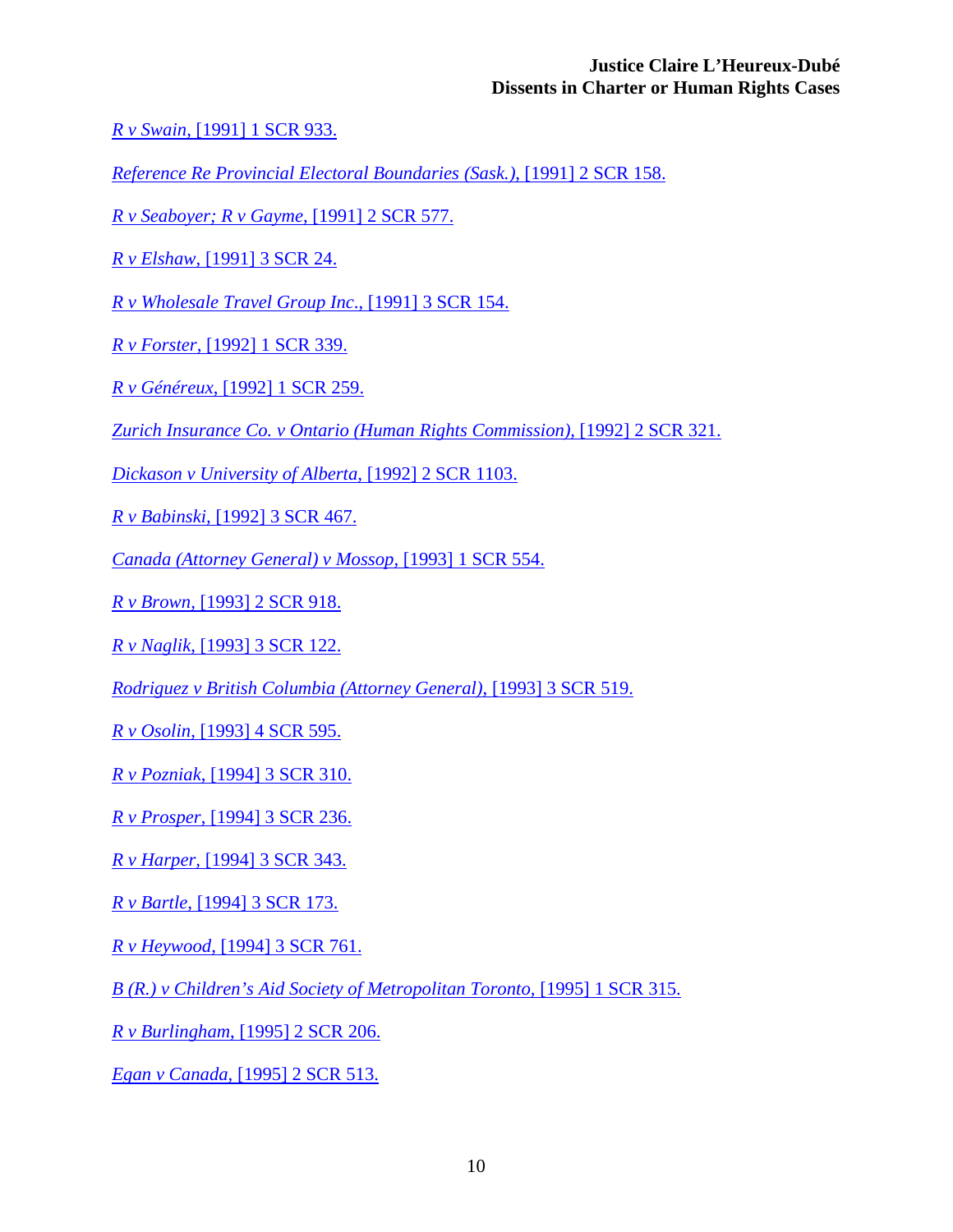#### **Justice Claire L'Heureux-Dubé Dissents in Charter or Human Rights Cases**

*R v Swain*[, \[1991\] 1 SCR 933.](http://scc-csc.lexum.com/scc-csc/scc-csc/en/item/753/index.do?r=AAAAAQAeUi4gdi4gU3dhaW4sIFsxOTkxXSAxIFNDUiA5MzMuAAAAAAE)

*[Reference Re Provincial Electoral Boundaries \(Sask.\)](http://scc-csc.lexum.com/scc-csc/scc-csc/en/item/766/index.do?r=AAAAAQBHUmVmZXJlbmNlIFJlIFByb3ZpbmNpYWwgRWxlY3RvcmFsIEJvdW5kYXJpZXMgKFNhc2suKSwgWzE5OTFdIDIgU0NSIDE1OC4AAAAAAQ)*, [1991] 2 SCR 158.

*R v Seaboyer; R v Gayme*[, \[1991\] 2 SCR 577.](http://scc-csc.lexum.com/scc-csc/scc-csc/en/item/783/index.do?r=AAAAAQAuUi4gdi4gU2VhYm95ZXI7IFIuIHYuIEdheW1lLCBbMTk5MV0gMiBTQ1IgNTc3LgAAAAAB)

*R v Elshaw,* [\[1991\] 3 SCR 24.](http://scc-csc.lexum.com/scc-csc/scc-csc/en/item/789/index.do?r=AAAAAQAeUi4gdi4gRWxzaGF3LCBbMTk5MV0gMyBTQ1IgMjQuAAAAAAE)

*R v [Wholesale Travel Group Inc](http://scc-csc.lexum.com/scc-csc/scc-csc/en/item/801/index.do?r=AAAAAQA0Ui4gdi4gV2hvbGVzYWxlIFRyYXZlbCBHcm91cCBJbmMuLCBbMTk5MVsgMyBTQ1IgMTU0LgAAAAAB)*., [1991] 3 SCR 154.

*R v Forster*[, \[1992\] 1 SCR 339.](http://scc-csc.lexum.com/scc-csc/scc-csc/en/item/838/index.do?r=AAAAAQAgUi4gdi4gRm9yc3RlciwgWzE5OTJdIDEgU0NSIDMzOS4AAAAAAQ)

*R v Généreux*[, \[1992\] 1 SCR 259.](http://scc-csc.lexum.com/scc-csc/scc-csc/en/item/836/index.do?r=AAAAAQAjUi4gdi4gR8OpbsOpcmV1eCwgWzE5OTJdIDEgU0NSIDI1OS4AAAAAAQ)

*Zurich Insurance Co. v [Ontario \(Human Rights Commission\),](http://scc-csc.lexum.com/scc-csc/scc-csc/en/item/895/index.do?r=AAAAAQBMWnVyaWNoIEluc3VyYW5jZSBDby4gdi4gT250YXJpbyAoSHVtYW4gUmlnaHRzIENvbW1pc3Npb24pLCBbMTk5Ml0gMiBTQ1IgMzIxLgAAAAAB)* [1992] 2 SCR 321.

*[Dickason v University of Alberta,](http://scc-csc.lexum.com/scc-csc/scc-csc/en/item/915/index.do?r=AAAAAQA0RGlja2Fzb24gdiBVbml2ZXJzaXR5IG9mIEFsYmVydGEsIFsxOTkyXSAyIFNDUiAxMTAzLgAAAAAB)* [1992] 2 SCR 1103.

*R v Babinski,* [\[1992\] 3 SCR 467.](http://scc-csc.lexum.com/scc-csc/scc-csc/en/item/931/index.do?r=AAAAAQAhUi4gdi4gQmFiaW5za2ksIFsxOTkyXSAzIFNDUiA0NjcuAAAAAAE)

*[Canada \(Attorney General\) v Mossop,](http://scc-csc.lexum.com/scc-csc/scc-csc/en/item/969/index.do?r=AAAAAQA1Q2FuYWRhIChBdHRvcm5leSBHZW5lcmFsKSB2IE1vc3NvcCwgWzE5OTNdIDEgU0NSIDU1NC4AAAAAAQ)* [1993] 1 SCR 554.

*R v Brown,* [\[1993\] 2 SCR 918.](http://scc-csc.lexum.com/scc-csc/scc-csc/en/item/1033/index.do?r=AAAAAQAeUi4gdi4gQnJvd24sIFsxOTkzXSAyIFNDUiA5MTguAAAAAAE)

*R v Naglik*[, \[1993\] 3 SCR 122.](http://scc-csc.lexum.com/scc-csc/scc-csc/en/item/1042/index.do?r=AAAAAQAfUi4gdi4gTmFnbGlrLCBbMTk5M10gMyBTQ1IgMTIyLgAAAAAB)

*[Rodriguez v British Columbia \(Attorney General\)](http://scc-csc.lexum.com/scc-csc/scc-csc/en/item/1054/index.do?r=AAAAAQBCUm9kcmlndWV6IHYgQnJpdGlzaCBDb2x1bWJpYSAoQXR0b3JuZXkgR2VuZXJhbCksIFsxOTkzXSAzIFNDUiA1MTkuAAAAAAE)*, [1993] 3 SCR 519.

*R v Osolin*[, \[1993\] 4 SCR 595.](http://scc-csc.lexum.com/scc-csc/scc-csc/en/item/1092/index.do?r=AAAAAQAfUi4gdi4gT3NvbGluLCBbMTk5M10gNCBTQ1IgNTk1LgAAAAAB)

*R v Pozniak*[, \[1994\] 3 SCR 310.](http://scc-csc.lexum.com/scc-csc/scc-csc/en/item/1177/index.do?r=AAAAAQAgUi4gdi4gUG96bmlhaywgWzE5OTRdIDMgU0NSIDMxMC4AAAAAAQ)

*R v Prosper*[, \[1994\] 3 SCR 236.](http://scc-csc.lexum.com/scc-csc/scc-csc/en/item/1176/index.do?r=AAAAAQAgUi4gdi4gUHJvc3BlciwgWzE5OTRdIDMgU0NSIDIzNi4AAAAAAQ)

*R v Harper,* [\[1994\] 3 SCR 343.](http://scc-csc.lexum.com/scc-csc/scc-csc/en/item/1179/index.do?r=AAAAAQAfUi4gdi4gSGFycGVyLCBbMTk5NF0gMyBTQ1IgMzQzLgAAAAAB)

*R v Bartle,* [\[1994\] 3 SCR 173.](http://scc-csc.lexum.com/scc-csc/scc-csc/en/item/1175/index.do?r=AAAAAQAfUi4gdi4gQmFydGxlLCBbMTk5NF0gMyBTQ1IgMTczLgAAAAAB)

*R v Heywood*[, \[1994\] 3 SCR 761.](http://scc-csc.lexum.com/scc-csc/scc-csc/en/item/1198/index.do?r=AAAAAQAgUi4gdi4gSGV5d29vZCwgWzE5OTRdIDMgU0NSIDc2MS4AAAAAAQ)

*[B \(R.\) v Children's Aid Society of Metropolitan Toronto,](http://scc-csc.lexum.com/scc-csc/scc-csc/en/item/1220/index.do?r=AAAAAQARWzE5OTVdIDEgU0NSIDMxNS4AAAAAAQ)* [1995] 1 SCR 315.

*R v Burlingham*[, \[1995\] 2 SCR 206.](http://scc-csc.lexum.com/scc-csc/scc-csc/en/item/1255/index.do?r=AAAAAQAhUiB2IEJ1cmxpbmdoYW0sIFsxOTk1XSAyIFNDUiAyMDYuAAAAAAE)

*Egan v Canada,* [\[1995\] 2 SCR 513.](http://scc-csc.lexum.com/scc-csc/scc-csc/en/item/1265/index.do?r=AAAAAQAgRWdhbiB2IENhbmFkYSwgWzE5OTVdIDIgU0NSIDUxMy4AAAAAAQ)